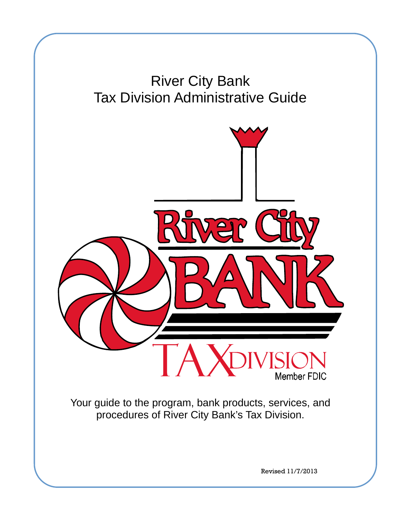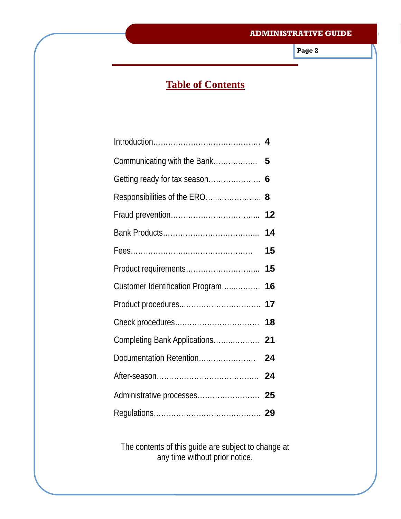# **Table of Contents**

| Communicating with the Bank     | 5  |
|---------------------------------|----|
| Getting ready for tax season    | 6  |
| Responsibilities of the ERO 8   |    |
|                                 | 12 |
|                                 | 14 |
|                                 | 15 |
| Product requirements            | 15 |
| Customer Identification Program | 16 |
|                                 | 17 |
|                                 | 18 |
| Completing Bank Applications    | 21 |
| Documentation Retention         | 24 |
|                                 | 24 |
| Administrative processes        | 25 |
|                                 |    |

The contents of this guide are subject to change at any time without prior notice.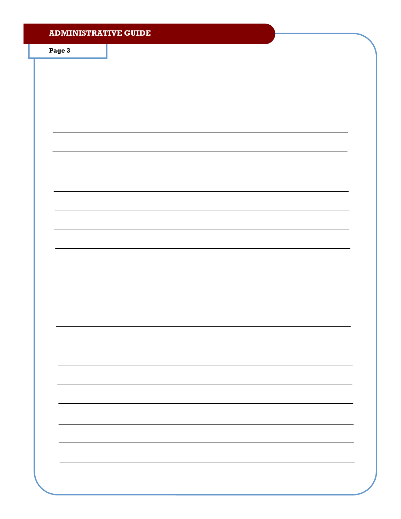| Page 3 |  |  |
|--------|--|--|
|        |  |  |
|        |  |  |
|        |  |  |
|        |  |  |
|        |  |  |
|        |  |  |
|        |  |  |
|        |  |  |
|        |  |  |
|        |  |  |
|        |  |  |
|        |  |  |
|        |  |  |
|        |  |  |
|        |  |  |
|        |  |  |
|        |  |  |
|        |  |  |
|        |  |  |
|        |  |  |
|        |  |  |
|        |  |  |
|        |  |  |
|        |  |  |
|        |  |  |
|        |  |  |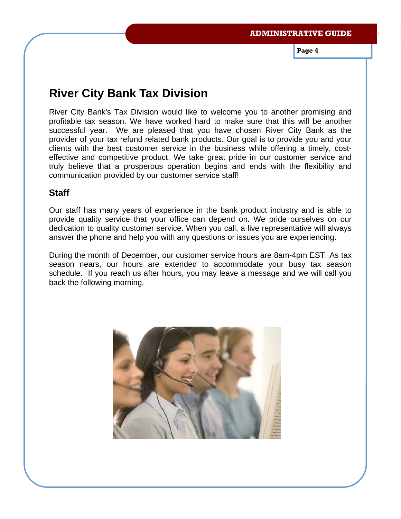# **River City Bank Tax Division**

River City Bank's Tax Division would like to welcome you to another promising and profitable tax season. We have worked hard to make sure that this will be another successful year. We are pleased that you have chosen River City Bank as the provider of your tax refund related bank products. Our goal is to provide you and your clients with the best customer service in the business while offering a timely, costeffective and competitive product. We take great pride in our customer service and truly believe that a prosperous operation begins and ends with the flexibility and communication provided by our customer service staff!

# **Staff**

Our staff has many years of experience in the bank product industry and is able to provide quality service that your office can depend on. We pride ourselves on our dedication to quality customer service. When you call, a live representative will always answer the phone and help you with any questions or issues you are experiencing.

During the month of December, our customer service hours are 8am-4pm EST. As tax season nears, our hours are extended to accommodate your busy tax season schedule. If you reach us after hours, you may leave a message and we will call you back the following morning.

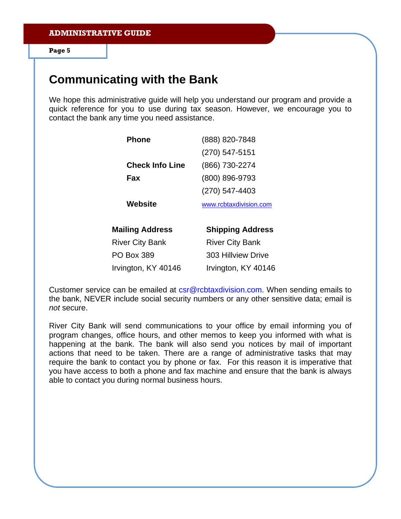# **Communicating with the Bank**

We hope this administrative guide will help you understand our program and provide a quick reference for you to use during tax season. However, we encourage you to contact the bank any time you need assistance.

| <b>Mailing Address</b> | <b>Shipping Address</b> |
|------------------------|-------------------------|
| Website                | www.rcbtaxdivision.com  |
|                        | (270) 547-4403          |
| Fax                    | (800) 896-9793          |
| <b>Check Info Line</b> | (866) 730-2274          |
|                        | (270) 547-5151          |
| <b>Phone</b>           | (888) 820-7848          |

| <b>Malilly Ayulcop</b> | <b>OUPPING AUGICS</b>  |
|------------------------|------------------------|
| <b>River City Bank</b> | <b>River City Bank</b> |
| <b>PO Box 389</b>      | 303 Hillview Drive     |
| Irvington, KY 40146    | Irvington, KY 40146    |

Customer service can be emailed at csr@rcbtaxdivision.com. When sending emails to the bank, NEVER include social security numbers or any other sensitive data; email is *not* secure.

River City Bank will send communications to your office by email informing you of program changes, office hours, and other memos to keep you informed with what is happening at the bank. The bank will also send you notices by mail of important actions that need to be taken. There are a range of administrative tasks that may require the bank to contact you by phone or fax. For this reason it is imperative that you have access to both a phone and fax machine and ensure that the bank is always able to contact you during normal business hours.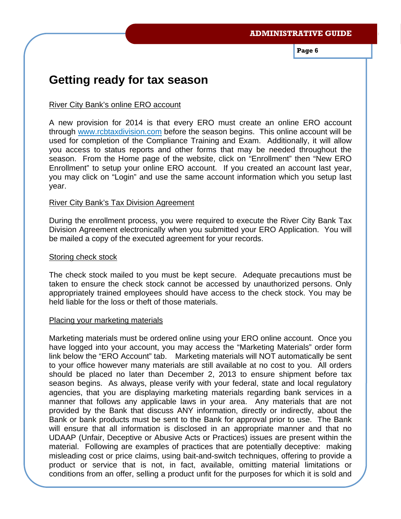**Page 6** 

# **Getting ready for tax season**

# River City Bank's online ERO account

A new provision for 2014 is that every ERO must create an online ERO account through www.rcbtaxdivision.com before the season begins. This online account will be used for completion of the Compliance Training and Exam. Additionally, it will allow you access to status reports and other forms that may be needed throughout the season. From the Home page of the website, click on "Enrollment" then "New ERO Enrollment" to setup your online ERO account. If you created an account last year, you may click on "Login" and use the same account information which you setup last year.

# River City Bank's Tax Division Agreement

During the enrollment process, you were required to execute the River City Bank Tax Division Agreement electronically when you submitted your ERO Application. You will be mailed a copy of the executed agreement for your records.

# Storing check stock

The check stock mailed to you must be kept secure. Adequate precautions must be taken to ensure the check stock cannot be accessed by unauthorized persons. Only appropriately trained employees should have access to the check stock. You may be held liable for the loss or theft of those materials.

# Placing your marketing materials

Marketing materials must be ordered online using your ERO online account. Once you have logged into your account, you may access the "Marketing Materials" order form link below the "ERO Account" tab. Marketing materials will NOT automatically be sent to your office however many materials are still available at no cost to you. All orders should be placed no later than December 2, 2013 to ensure shipment before tax season begins. As always, please verify with your federal, state and local regulatory agencies, that you are displaying marketing materials regarding bank services in a manner that follows any applicable laws in your area. Any materials that are not provided by the Bank that discuss ANY information, directly or indirectly, about the Bank or bank products must be sent to the Bank for approval prior to use. The Bank will ensure that all information is disclosed in an appropriate manner and that no UDAAP (Unfair, Deceptive or Abusive Acts or Practices) issues are present within the material. Following are examples of practices that are potentially deceptive: making misleading cost or price claims, using bait-and-switch techniques, offering to provide a product or service that is not, in fact, available, omitting material limitations or conditions from an offer, selling a product unfit for the purposes for which it is sold and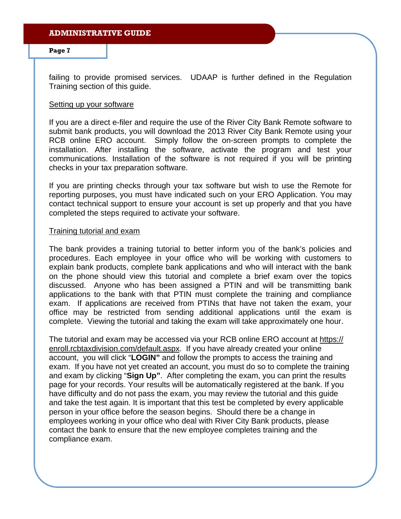failing to provide promised services. UDAAP is further defined in the Regulation Training section of this guide.

#### Setting up your software

If you are a direct e-filer and require the use of the River City Bank Remote software to submit bank products, you will download the 2013 River City Bank Remote using your RCB online ERO account. Simply follow the on-screen prompts to complete the installation. After installing the software, activate the program and test your communications. Installation of the software is not required if you will be printing checks in your tax preparation software.

If you are printing checks through your tax software but wish to use the Remote for reporting purposes, you must have indicated such on your ERO Application. You may contact technical support to ensure your account is set up properly and that you have completed the steps required to activate your software.

#### Training tutorial and exam

The bank provides a training tutorial to better inform you of the bank's policies and procedures. Each employee in your office who will be working with customers to explain bank products, complete bank applications and who will interact with the bank on the phone should view this tutorial and complete a brief exam over the topics discussed. Anyone who has been assigned a PTIN and will be transmitting bank applications to the bank with that PTIN must complete the training and compliance exam. If applications are received from PTINs that have not taken the exam, your office may be restricted from sending additional applications until the exam is complete. Viewing the tutorial and taking the exam will take approximately one hour.

The tutorial and exam may be accessed via your RCB online ERO account at https:// enroll.rcbtaxdivision.com/default.aspx. If you have already created your online account, you will click "**LOGIN"** and follow the prompts to access the training and exam. If you have not yet created an account, you must do so to complete the training and exam by clicking "**Sign Up"**. After completing the exam, you can print the results page for your records. Your results will be automatically registered at the bank. If you have difficulty and do not pass the exam, you may review the tutorial and this guide and take the test again. It is important that this test be completed by every applicable person in your office before the season begins. Should there be a change in employees working in your office who deal with River City Bank products, please contact the bank to ensure that the new employee completes training and the compliance exam.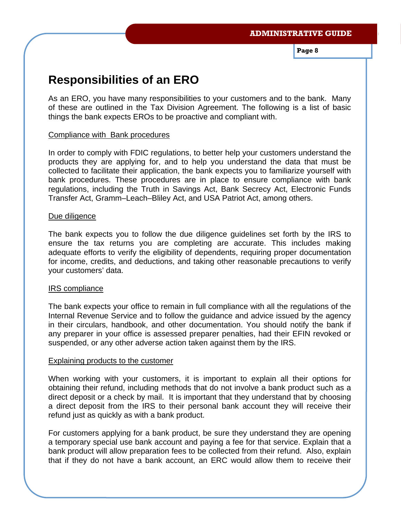**Page 8** 

# **Responsibilities of an ERO**

As an ERO, you have many responsibilities to your customers and to the bank. Many of these are outlined in the Tax Division Agreement. The following is a list of basic things the bank expects EROs to be proactive and compliant with.

# Compliance with Bank procedures

In order to comply with FDIC regulations, to better help your customers understand the products they are applying for, and to help you understand the data that must be collected to facilitate their application, the bank expects you to familiarize yourself with bank procedures. These procedures are in place to ensure compliance with bank regulations, including the Truth in Savings Act, Bank Secrecy Act, Electronic Funds Transfer Act, Gramm–Leach–Bliley Act, and USA Patriot Act, among others.

#### Due diligence

The bank expects you to follow the due diligence guidelines set forth by the IRS to ensure the tax returns you are completing are accurate. This includes making adequate efforts to verify the eligibility of dependents, requiring proper documentation for income, credits, and deductions, and taking other reasonable precautions to verify your customers' data.

#### IRS compliance

The bank expects your office to remain in full compliance with all the regulations of the Internal Revenue Service and to follow the guidance and advice issued by the agency in their circulars, handbook, and other documentation. You should notify the bank if any preparer in your office is assessed preparer penalties, had their EFIN revoked or suspended, or any other adverse action taken against them by the IRS.

#### Explaining products to the customer

When working with your customers, it is important to explain all their options for obtaining their refund, including methods that do not involve a bank product such as a direct deposit or a check by mail. It is important that they understand that by choosing a direct deposit from the IRS to their personal bank account they will receive their refund just as quickly as with a bank product.

For customers applying for a bank product, be sure they understand they are opening a temporary special use bank account and paying a fee for that service. Explain that a bank product will allow preparation fees to be collected from their refund. Also, explain that if they do not have a bank account, an ERC would allow them to receive their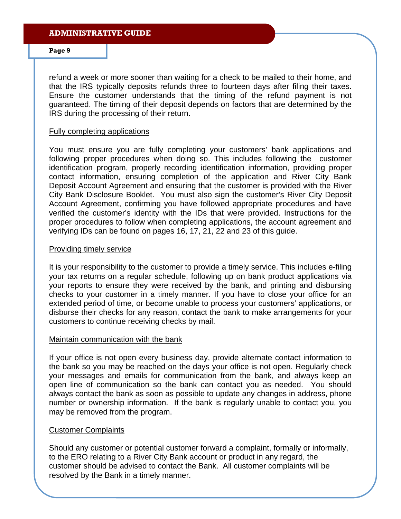refund a week or more sooner than waiting for a check to be mailed to their home, and that the IRS typically deposits refunds three to fourteen days after filing their taxes. Ensure the customer understands that the timing of the refund payment is not guaranteed. The timing of their deposit depends on factors that are determined by the IRS during the processing of their return.

## Fully completing applications

You must ensure you are fully completing your customers' bank applications and following proper procedures when doing so. This includes following the customer identification program, properly recording identification information, providing proper contact information, ensuring completion of the application and River City Bank Deposit Account Agreement and ensuring that the customer is provided with the River City Bank Disclosure Booklet. You must also sign the customer's River City Deposit Account Agreement, confirming you have followed appropriate procedures and have verified the customer's identity with the IDs that were provided. Instructions for the proper procedures to follow when completing applications, the account agreement and verifying IDs can be found on pages 16, 17, 21, 22 and 23 of this guide.

# Providing timely service

It is your responsibility to the customer to provide a timely service. This includes e-filing your tax returns on a regular schedule, following up on bank product applications via your reports to ensure they were received by the bank, and printing and disbursing checks to your customer in a timely manner. If you have to close your office for an extended period of time, or become unable to process your customers' applications, or disburse their checks for any reason, contact the bank to make arrangements for your customers to continue receiving checks by mail.

#### Maintain communication with the bank

If your office is not open every business day, provide alternate contact information to the bank so you may be reached on the days your office is not open. Regularly check your messages and emails for communication from the bank, and always keep an open line of communication so the bank can contact you as needed. You should always contact the bank as soon as possible to update any changes in address, phone number or ownership information. If the bank is regularly unable to contact you, you may be removed from the program.

# Customer Complaints

Should any customer or potential customer forward a complaint, formally or informally, to the ERO relating to a River City Bank account or product in any regard, the customer should be advised to contact the Bank. All customer complaints will be resolved by the Bank in a timely manner.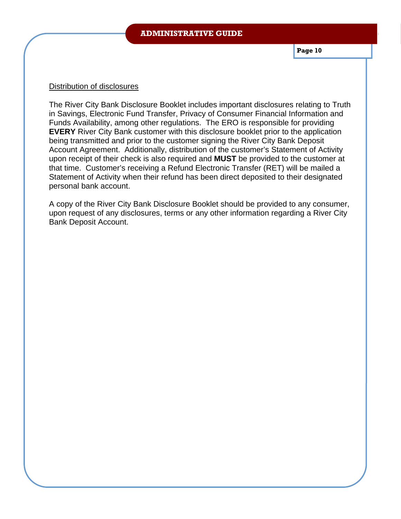### Distribution of disclosures

The River City Bank Disclosure Booklet includes important disclosures relating to Truth in Savings, Electronic Fund Transfer, Privacy of Consumer Financial Information and Funds Availability, among other regulations. The ERO is responsible for providing **EVERY** River City Bank customer with this disclosure booklet prior to the application being transmitted and prior to the customer signing the River City Bank Deposit Account Agreement. Additionally, distribution of the customer's Statement of Activity upon receipt of their check is also required and **MUST** be provided to the customer at that time. Customer's receiving a Refund Electronic Transfer (RET) will be mailed a Statement of Activity when their refund has been direct deposited to their designated personal bank account.

A copy of the River City Bank Disclosure Booklet should be provided to any consumer, upon request of any disclosures, terms or any other information regarding a River City Bank Deposit Account.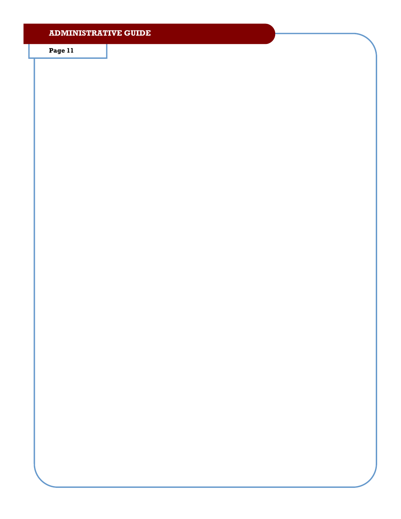**Page 11**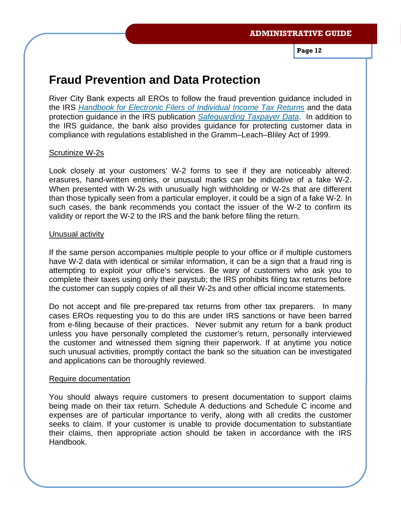# **Fraud Prevention and Data Protection**

River City Bank expects all EROs to follow the fraud prevention guidance included in the IRS *Handbook for Electronic Filers of Individual Income Tax Return*s and the data protection guidance in the IRS publication *Safeguarding Taxpayer Data*. In addition to the IRS guidance, the bank also provides guidance for protecting customer data in compliance with regulations established in the Gramm–Leach–Bliley Act of 1999.

# Scrutinize W-2s

Look closely at your customers' W-2 forms to see if they are noticeably altered: erasures, hand-written entries, or unusual marks can be indicative of a fake W-2. When presented with W-2s with unusually high withholding or W-2s that are different than those typically seen from a particular employer, it could be a sign of a fake W-2. In such cases, the bank recommends you contact the issuer of the W-2 to confirm its validity or report the W-2 to the IRS and the bank before filing the return.

# Unusual activity

If the same person accompanies multiple people to your office or if multiple customers have W-2 data with identical or similar information, it can be a sign that a fraud ring is attempting to exploit your office's services. Be wary of customers who ask you to complete their taxes using only their paystub; the IRS prohibits filing tax returns before the customer can supply copies of all their W-2s and other official income statements.

Do not accept and file pre-prepared tax returns from other tax preparers. In many cases EROs requesting you to do this are under IRS sanctions or have been barred from e-filing because of their practices. Never submit any return for a bank product unless you have personally completed the customer's return, personally interviewed the customer and witnessed them signing their paperwork. If at anytime you notice such unusual activities, promptly contact the bank so the situation can be investigated and applications can be thoroughly reviewed.

#### Require documentation

You should always require customers to present documentation to support claims being made on their tax return. Schedule A deductions and Schedule C income and expenses are of particular importance to verify, along with all credits the customer seeks to claim. If your customer is unable to provide documentation to substantiate their claims, then appropriate action should be taken in accordance with the IRS Handbook.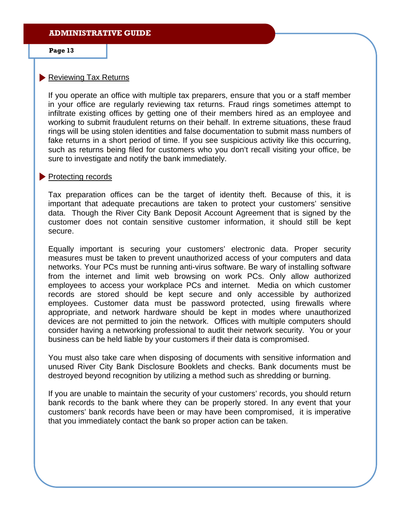**Page 13** 

# Reviewing Tax Returns

If you operate an office with multiple tax preparers, ensure that you or a staff member in your office are regularly reviewing tax returns. Fraud rings sometimes attempt to infiltrate existing offices by getting one of their members hired as an employee and working to submit fraudulent returns on their behalf. In extreme situations, these fraud rings will be using stolen identities and false documentation to submit mass numbers of fake returns in a short period of time. If you see suspicious activity like this occurring, such as returns being filed for customers who you don't recall visiting your office, be sure to investigate and notify the bank immediately.

## Protecting records

Tax preparation offices can be the target of identity theft. Because of this, it is important that adequate precautions are taken to protect your customers' sensitive data. Though the River City Bank Deposit Account Agreement that is signed by the customer does not contain sensitive customer information, it should still be kept secure.

Equally important is securing your customers' electronic data. Proper security measures must be taken to prevent unauthorized access of your computers and data networks. Your PCs must be running anti-virus software. Be wary of installing software from the internet and limit web browsing on work PCs. Only allow authorized employees to access your workplace PCs and internet. Media on which customer records are stored should be kept secure and only accessible by authorized employees. Customer data must be password protected, using firewalls where appropriate, and network hardware should be kept in modes where unauthorized devices are not permitted to join the network. Offices with multiple computers should consider having a networking professional to audit their network security. You or your business can be held liable by your customers if their data is compromised.

You must also take care when disposing of documents with sensitive information and unused River City Bank Disclosure Booklets and checks. Bank documents must be destroyed beyond recognition by utilizing a method such as shredding or burning.

If you are unable to maintain the security of your customers' records, you should return bank records to the bank where they can be properly stored. In any event that your customers' bank records have been or may have been compromised, it is imperative that you immediately contact the bank so proper action can be taken.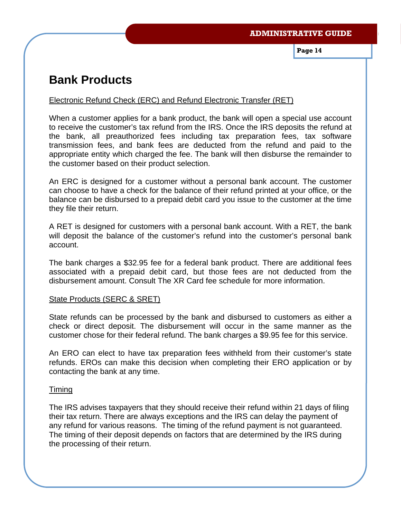# **Bank Products**

# Electronic Refund Check (ERC) and Refund Electronic Transfer (RET)

When a customer applies for a bank product, the bank will open a special use account to receive the customer's tax refund from the IRS. Once the IRS deposits the refund at the bank, all preauthorized fees including tax preparation fees, tax software transmission fees, and bank fees are deducted from the refund and paid to the appropriate entity which charged the fee. The bank will then disburse the remainder to the customer based on their product selection.

An ERC is designed for a customer without a personal bank account. The customer can choose to have a check for the balance of their refund printed at your office, or the balance can be disbursed to a prepaid debit card you issue to the customer at the time they file their return.

A RET is designed for customers with a personal bank account. With a RET, the bank will deposit the balance of the customer's refund into the customer's personal bank account.

The bank charges a \$32.95 fee for a federal bank product. There are additional fees associated with a prepaid debit card, but those fees are not deducted from the disbursement amount. Consult The XR Card fee schedule for more information.

# State Products (SERC & SRET)

State refunds can be processed by the bank and disbursed to customers as either a check or direct deposit. The disbursement will occur in the same manner as the customer chose for their federal refund. The bank charges a \$9.95 fee for this service.

An ERO can elect to have tax preparation fees withheld from their customer's state refunds. EROs can make this decision when completing their ERO application or by contacting the bank at any time.

# Timing

The IRS advises taxpayers that they should receive their refund within 21 days of filing their tax return. There are always exceptions and the IRS can delay the payment of any refund for various reasons. The timing of the refund payment is not guaranteed. The timing of their deposit depends on factors that are determined by the IRS during the processing of their return.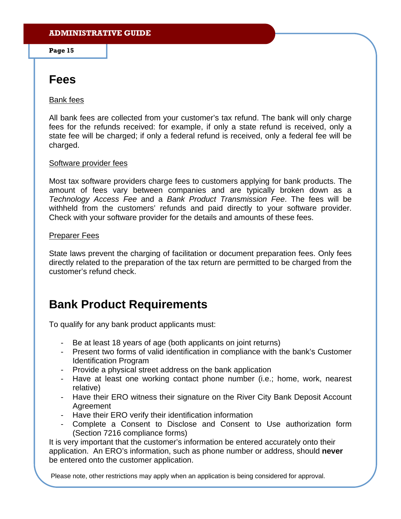**Page 15** 

# **Fees**

# Bank fees

All bank fees are collected from your customer's tax refund. The bank will only charge fees for the refunds received: for example, if only a state refund is received, only a state fee will be charged; if only a federal refund is received, only a federal fee will be charged.

# Software provider fees

Most tax software providers charge fees to customers applying for bank products. The amount of fees vary between companies and are typically broken down as a *Technology Access Fee* and a *Bank Product Transmission Fee*. The fees will be withheld from the customers' refunds and paid directly to your software provider. Check with your software provider for the details and amounts of these fees.

# Preparer Fees

State laws prevent the charging of facilitation or document preparation fees. Only fees directly related to the preparation of the tax return are permitted to be charged from the customer's refund check.

# **Bank Product Requirements**

To qualify for any bank product applicants must:

- Be at least 18 years of age (both applicants on joint returns)
- Present two forms of valid identification in compliance with the bank's Customer Identification Program
- Provide a physical street address on the bank application
- Have at least one working contact phone number (i.e.; home, work, nearest relative)
- Have their ERO witness their signature on the River City Bank Deposit Account Agreement
- Have their ERO verify their identification information
- Complete a Consent to Disclose and Consent to Use authorization form (Section 7216 compliance forms)

It is very important that the customer's information be entered accurately onto their application. An ERO's information, such as phone number or address, should **never**  be entered onto the customer application.

Please note, other restrictions may apply when an application is being considered for approval.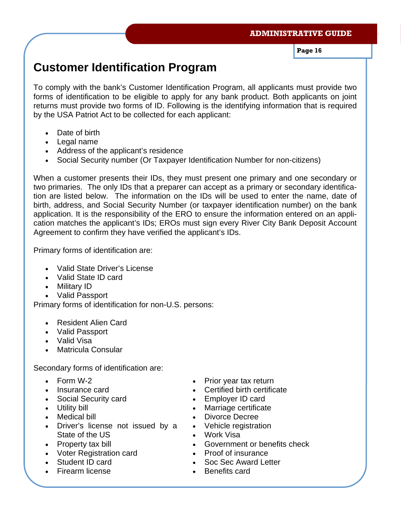**Page 16** 

# **Customer Identification Program**

To comply with the bank's Customer Identification Program, all applicants must provide two forms of identification to be eligible to apply for any bank product. Both applicants on joint returns must provide two forms of ID. Following is the identifying information that is required by the USA Patriot Act to be collected for each applicant:

- Date of birth
- Legal name
- Address of the applicant's residence
- Social Security number (Or Taxpayer Identification Number for non-citizens)

When a customer presents their IDs, they must present one primary and one secondary or two primaries. The only IDs that a preparer can accept as a primary or secondary identification are listed below. The information on the IDs will be used to enter the name, date of birth, address, and Social Security Number (or taxpayer identification number) on the bank application. It is the responsibility of the ERO to ensure the information entered on an application matches the applicant's IDs; EROs must sign every River City Bank Deposit Account Agreement to confirm they have verified the applicant's IDs.

Primary forms of identification are:

- Valid State Driver's License
- Valid State ID card
- Military ID
- Valid Passport

Primary forms of identification for non-U.S. persons:

- Resident Alien Card
- Valid Passport
- Valid Visa
- Matricula Consular

Secondary forms of identification are:

- Form W-2
- Insurance card
- Social Security card
- Utility bill
- Medical bill
- Driver's license not issued by a State of the US
- Property tax bill
- Voter Registration card
- Student ID card
- Firearm license
- Prior year tax return
- Certified birth certificate
- Employer ID card
- Marriage certificate
- Divorce Decree
- Vehicle registration
- Work Visa
- Government or benefits check
- Proof of insurance
- Soc Sec Award Letter
- Benefits card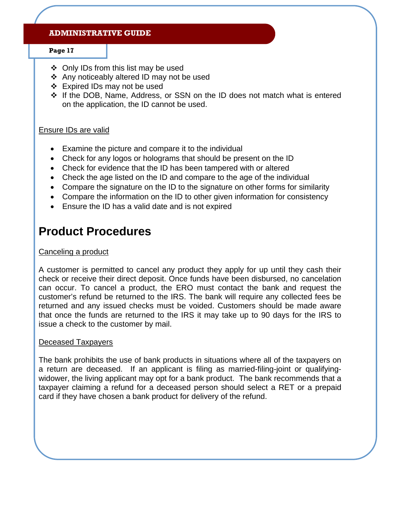### **Page 17**

- ❖ Only IDs from this list may be used
- ❖ Any noticeably altered ID may not be used
- Expired IDs may not be used
- If the DOB, Name, Address, or SSN on the ID does not match what is entered on the application, the ID cannot be used.

# Ensure IDs are valid

- Examine the picture and compare it to the individual
- Check for any logos or holograms that should be present on the ID
- Check for evidence that the ID has been tampered with or altered
- Check the age listed on the ID and compare to the age of the individual
- Compare the signature on the ID to the signature on other forms for similarity
- Compare the information on the ID to other given information for consistency
- Ensure the ID has a valid date and is not expired

# **Product Procedures**

# Canceling a product

A customer is permitted to cancel any product they apply for up until they cash their check or receive their direct deposit. Once funds have been disbursed, no cancelation can occur. To cancel a product, the ERO must contact the bank and request the customer's refund be returned to the IRS. The bank will require any collected fees be returned and any issued checks must be voided. Customers should be made aware that once the funds are returned to the IRS it may take up to 90 days for the IRS to issue a check to the customer by mail.

# Deceased Taxpayers

The bank prohibits the use of bank products in situations where all of the taxpayers on a return are deceased. If an applicant is filing as married-filing-joint or qualifyingwidower, the living applicant may opt for a bank product. The bank recommends that a taxpayer claiming a refund for a deceased person should select a RET or a prepaid card if they have chosen a bank product for delivery of the refund.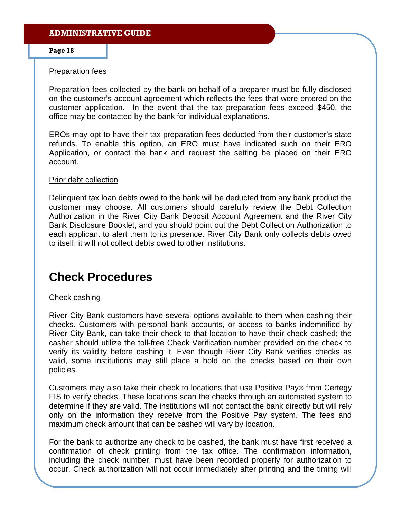# Preparation fees

Preparation fees collected by the bank on behalf of a preparer must be fully disclosed on the customer's account agreement which reflects the fees that were entered on the customer application. In the event that the tax preparation fees exceed \$450, the office may be contacted by the bank for individual explanations.

EROs may opt to have their tax preparation fees deducted from their customer's state refunds. To enable this option, an ERO must have indicated such on their ERO Application, or contact the bank and request the setting be placed on their ERO account.

# Prior debt collection

Delinquent tax loan debts owed to the bank will be deducted from any bank product the customer may choose. All customers should carefully review the Debt Collection Authorization in the River City Bank Deposit Account Agreement and the River City Bank Disclosure Booklet, and you should point out the Debt Collection Authorization to each applicant to alert them to its presence. River City Bank only collects debts owed to itself; it will not collect debts owed to other institutions.

# **Check Procedures**

# Check cashing

River City Bank customers have several options available to them when cashing their checks. Customers with personal bank accounts, or access to banks indemnified by River City Bank, can take their check to that location to have their check cashed; the casher should utilize the toll-free Check Verification number provided on the check to verify its validity before cashing it. Even though River City Bank verifies checks as valid, some institutions may still place a hold on the checks based on their own policies.

Customers may also take their check to locations that use Positive Pay® from Certegy FIS to verify checks. These locations scan the checks through an automated system to determine if they are valid. The institutions will not contact the bank directly but will rely only on the information they receive from the Positive Pay system. The fees and maximum check amount that can be cashed will vary by location.

For the bank to authorize any check to be cashed, the bank must have first received a confirmation of check printing from the tax office. The confirmation information, including the check number, must have been recorded properly for authorization to occur. Check authorization will not occur immediately after printing and the timing will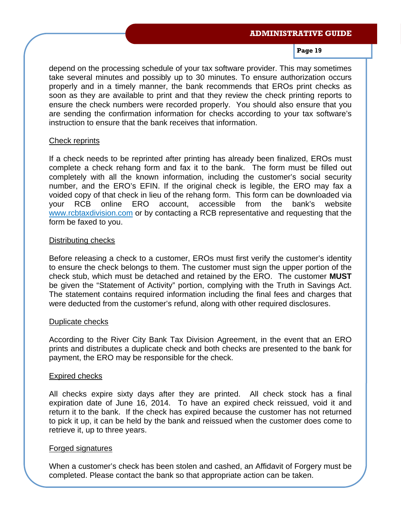# **Page 19**

depend on the processing schedule of your tax software provider. This may sometimes take several minutes and possibly up to 30 minutes. To ensure authorization occurs properly and in a timely manner, the bank recommends that EROs print checks as soon as they are available to print and that they review the check printing reports to ensure the check numbers were recorded properly. You should also ensure that you are sending the confirmation information for checks according to your tax software's instruction to ensure that the bank receives that information.

# Check reprints

If a check needs to be reprinted after printing has already been finalized, EROs must complete a check rehang form and fax it to the bank. The form must be filled out completely with all the known information, including the customer's social security number, and the ERO's EFIN. If the original check is legible, the ERO may fax a voided copy of that check in lieu of the rehang form. This form can be downloaded via your RCB online ERO account, accessible from the bank's website www.rcbtaxdivision.com or by contacting a RCB representative and requesting that the form be faxed to you.

# Distributing checks

Before releasing a check to a customer, EROs must first verify the customer's identity to ensure the check belongs to them. The customer must sign the upper portion of the check stub, which must be detached and retained by the ERO. The customer **MUST** be given the "Statement of Activity" portion, complying with the Truth in Savings Act. The statement contains required information including the final fees and charges that were deducted from the customer's refund, along with other required disclosures.

# Duplicate checks

According to the River City Bank Tax Division Agreement, in the event that an ERO prints and distributes a duplicate check and both checks are presented to the bank for payment, the ERO may be responsible for the check.

#### Expired checks

All checks expire sixty days after they are printed. All check stock has a final expiration date of June 16, 2014. To have an expired check reissued, void it and return it to the bank. If the check has expired because the customer has not returned to pick it up, it can be held by the bank and reissued when the customer does come to retrieve it, up to three years.

#### Forged signatures

When a customer's check has been stolen and cashed, an Affidavit of Forgery must be completed. Please contact the bank so that appropriate action can be taken.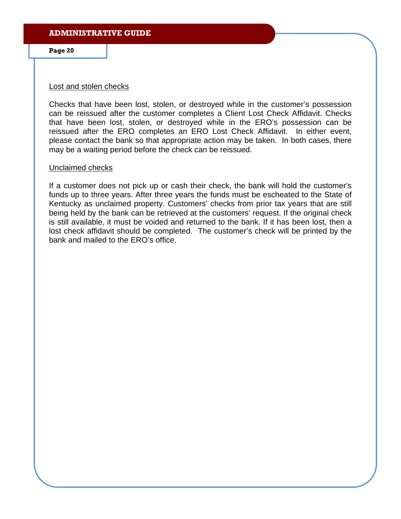#### **Page 20**

#### Lost and stolen checks

Checks that have been lost, stolen, or destroyed while in the customer's possession can be reissued after the customer completes a Client Lost Check Affidavit. Checks that have been lost, stolen, or destroyed while in the ERO's possession can be reissued after the ERO completes an ERO Lost Check Affidavit. In either event, please contact the bank so that appropriate action may be taken. In both cases, there may be a waiting period before the check can be reissued.

#### Unclaimed checks

If a customer does not pick up or cash their check, the bank will hold the customer's funds up to three years. After three years the funds must be escheated to the State of Kentucky as unclaimed property. Customers' checks from prior tax years that are still being held by the bank can be retrieved at the customers' request. If the original check is still available, it must be voided and returned to the bank. If it has been lost, then a lost check affidavit should be completed. The customer's check will be printed by the bank and mailed to the ERO's office.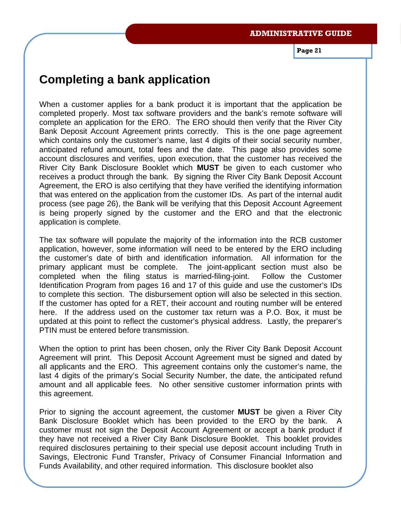# **Completing a bank application**

When a customer applies for a bank product it is important that the application be completed properly. Most tax software providers and the bank's remote software will complete an application for the ERO. The ERO should then verify that the River City Bank Deposit Account Agreement prints correctly. This is the one page agreement which contains only the customer's name, last 4 digits of their social security number, anticipated refund amount, total fees and the date. This page also provides some account disclosures and verifies, upon execution, that the customer has received the River City Bank Disclosure Booklet which **MUST** be given to each customer who receives a product through the bank. By signing the River City Bank Deposit Account Agreement, the ERO is also certifying that they have verified the identifying information that was entered on the application from the customer IDs. As part of the internal audit process (see page 26), the Bank will be verifying that this Deposit Account Agreement is being properly signed by the customer and the ERO and that the electronic application is complete.

The tax software will populate the majority of the information into the RCB customer application, however, some information will need to be entered by the ERO including the customer's date of birth and identification information. All information for the primary applicant must be complete. The joint-applicant section must also be completed when the filing status is married-filing-joint. Follow the Customer Identification Program from pages 16 and 17 of this guide and use the customer's IDs to complete this section. The disbursement option will also be selected in this section. If the customer has opted for a RET, their account and routing number will be entered here. If the address used on the customer tax return was a P.O. Box, it must be updated at this point to reflect the customer's physical address. Lastly, the preparer's PTIN must be entered before transmission.

When the option to print has been chosen, only the River City Bank Deposit Account Agreement will print. This Deposit Account Agreement must be signed and dated by all applicants and the ERO. This agreement contains only the customer's name, the last 4 digits of the primary's Social Security Number, the date, the anticipated refund amount and all applicable fees. No other sensitive customer information prints with this agreement.

Prior to signing the account agreement, the customer **MUST** be given a River City Bank Disclosure Booklet which has been provided to the ERO by the bank. A customer must not sign the Deposit Account Agreement or accept a bank product if they have not received a River City Bank Disclosure Booklet. This booklet provides required disclosures pertaining to their special use deposit account including Truth in Savings, Electronic Fund Transfer, Privacy of Consumer Financial Information and Funds Availability, and other required information. This disclosure booklet also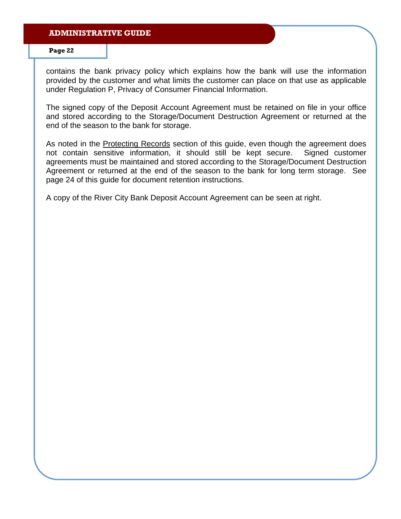**Page 22** 

contains the bank privacy policy which explains how the bank will use the information provided by the customer and what limits the customer can place on that use as applicable under Regulation P, Privacy of Consumer Financial Information.

The signed copy of the Deposit Account Agreement must be retained on file in your office and stored according to the Storage/Document Destruction Agreement or returned at the end of the season to the bank for storage.

As noted in the **Protecting Records** section of this guide, even though the agreement does not contain sensitive information, it should still be kept secure. Signed customer agreements must be maintained and stored according to the Storage/Document Destruction Agreement or returned at the end of the season to the bank for long term storage. See page 24 of this guide for document retention instructions.

A copy of the River City Bank Deposit Account Agreement can be seen at right.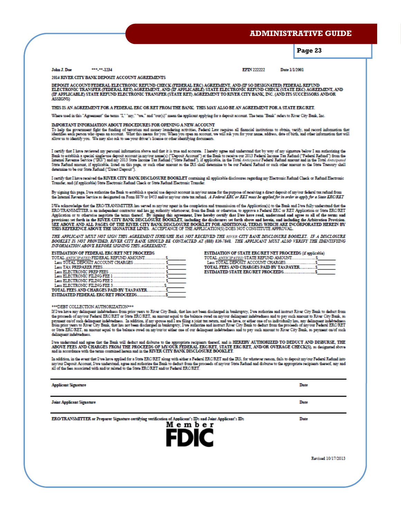**Page 23** 

 $***1234$ John J. Dos

**EFIN 222222** Date 1/1/2001

#### 2014 RIVER CITY BANK DEPOSIT ACCOUNT AGREEMENTS

DEPOSIT ACCOUNT/FEDERAL ELECTRONIC REFUND CHECK (FEDERAL ERC) AGREEMENT, AND (IF SO DESIGNATED) FEDERAL REFUND<br>ELECTRONIC TRANSFER (FEDERAL RET) AGREEMENT, AND (IF APPLICABLE) STATE ELECTRONIC REFUND CHECK (STATE ERC) AGRE (IF APPLICABLE) STATE REFUND ELECTRONIC TRANSFER (STATE RET) AGREEMENT TO RIVER CITY BANK, INC. (AND ITS SUCCESSORS AND/OR **ASSIGNST** 

THIS IS AN AGREEMENT FOR A FEDERAL ERC OR RET FROM THE BANK. THIS MAY ALSO BE AN AGREEMENT FOR A STATE ERC/RET.

Where used in this "Agreement" the terms "I," "my," "we," and "our(s)" mean the applicant applying for a deposit account. The term "Bank" refers to River City Bank, Inc.

#### IMPORTANT INFORMATION ABOUT PROCEDURES FOR OPENING A NEW ACCOUNT

To help the government fight the funding of terrorism and money laundering activities, Federal Law requires all financial institutions to obtain, verify, and record information that identifies exchange of terrorism and mon

I certify that I have reviewed my personal information above and that it is true and accurate. I hereby agree and understand that by way of my signature below I am authorizing the Bank to establish a special single-use dep

I certify that I have received the RIVER CITY BANK DISCLOSURE BOOKLET containing all applicable disclosures regarding my Electronic Refund Check or Refund Electronic Transfer, and (if applicable) State Electronic Refund Check or State Refund Electronic Transfer

By signing this page, I/we authorize the Bank to establish a special use deposit account in my/our name for the purpose of receiving a direct deposit of my/our federal tax refund from<br>the Internal Revenue Service as design

I/We acknowledge that the ERO/TRANSMITTER has served as my/our agent in the completion and transmission of the Application(s) to the Bank and I/we fully understand that the EROTRANSMITTER is an independent contractor and has no any our agen in use component BERG in the Application or State ERC/RET Application or to otherwise and the terms and the Bank of otherwise, to approve a Federal ERC or

THE APPLICANT MUST NOT SIGN THIS AGREEMENT IFHE/SHE HAS NOT RECEIVED THE RIVER CITY BANK DISCLOSURE BOOKLET. IF A DISCLOSURE<br>BOOKLET IS NOT PROVIDED, RIVER CITY BANK SHOULD BE CONTACTED AT (888) 820-7848. THE APPLICANT MUS **INFORMATION ABOVE BEFORE SIGNING THIS AGREEMENT.** 

ESTIMATION OF FEDERAL ERGRET NET PROCEEDS 

| Lots TOTAL DEPOSIT ACCOUNT CHARGES       |  |
|------------------------------------------|--|
| Lots TAX PREPARER FEES<br>               |  |
| Less FLECTRONIC PREP FEES                |  |
| Less FLECTRONIC FILING FEE 1             |  |
| Less FLECTRONIC FILING FEE 2             |  |
| Less FLECTRONIC FILING FEE 3             |  |
| TOTAL FEES AND CHARGES PAID BY TAXPAYER. |  |
| <b>ESTIMATED FEDERAL ERCERT PROCEEDS</b> |  |

| <b>ESTIMATION OF STATE EKCRET NET PROCEEDS (if applicable)</b> |  |
|----------------------------------------------------------------|--|
| TOTAL <i>ANTICIPATED</i> STATE REFUND AMOUNT                   |  |
| Less TOTAL DEPOSIT ACCOUNT CHARGES.                            |  |
| TOTAL FEES AND CHARGES PAID BY TAXPAYER.                       |  |
| <b>ESTIMATED STATE FRORET PROCEEDS</b>                         |  |

#### \*\*\* DEBT COLLECTION AUTHORIZATION \*\*\*

If I'we have any delinquent indebtedness from prior years to River City Bank, that has not been discharged in bankruptcy, I'we authorize and instruct River City Bank to deduct from The mount and the proceeds of mylone Federal ERORET or State ERORET, an amount equal to the balance overd on mylone delinquant indebtedness and to pay such amount to River City Bank, as<br>payment on/of such delinquant indebt or State ERC/RET, an amount equal to the balance owed on my/our/or either one of our delinquent indebtedness and to pay such amount to River City Bank, as payment on/of such delimment indebted

I've understand and agree that the Bank will deduct and disbure to the appropriate recipients thereof, and is HEREBY AUTHORIZED TO DEDUCT AND DISBURSE, THE ABOVE FEES AND CHARGES FROM THE PROCEEDS OF MY/OUR FEDERAL ERC/RE

In addition, in the event that I'we have applied for a State ERORET along with either a Federal ERORET and the IRS, for whatever reason, fails to deposit my/our Federal Refund into my/our Deposit Account, I/we understand,

**Applicant Signature** 

**Joint Applicant Signature** 

Date

Date

Date

EROTRANSMITTER or Preparer Signature certifying verification of Applicant's IDs and Joint Applicant's IDs



Revised 10/17/2013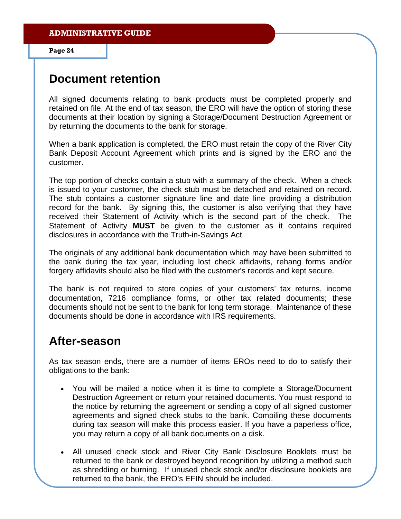# **Document retention**

All signed documents relating to bank products must be completed properly and retained on file. At the end of tax season, the ERO will have the option of storing these documents at their location by signing a Storage/Document Destruction Agreement or by returning the documents to the bank for storage.

When a bank application is completed, the ERO must retain the copy of the River City Bank Deposit Account Agreement which prints and is signed by the ERO and the customer.

The top portion of checks contain a stub with a summary of the check. When a check is issued to your customer, the check stub must be detached and retained on record. The stub contains a customer signature line and date line providing a distribution record for the bank. By signing this, the customer is also verifying that they have received their Statement of Activity which is the second part of the check. The Statement of Activity **MUST** be given to the customer as it contains required disclosures in accordance with the Truth-in-Savings Act.

The originals of any additional bank documentation which may have been submitted to the bank during the tax year, including lost check affidavits, rehang forms and/or forgery affidavits should also be filed with the customer's records and kept secure.

The bank is not required to store copies of your customers' tax returns, income documentation, 7216 compliance forms, or other tax related documents; these documents should not be sent to the bank for long term storage. Maintenance of these documents should be done in accordance with IRS requirements.

# **After-season**

As tax season ends, there are a number of items EROs need to do to satisfy their obligations to the bank:

- You will be mailed a notice when it is time to complete a Storage/Document Destruction Agreement or return your retained documents. You must respond to the notice by returning the agreement or sending a copy of all signed customer agreements and signed check stubs to the bank. Compiling these documents during tax season will make this process easier. If you have a paperless office, you may return a copy of all bank documents on a disk.
- All unused check stock and River City Bank Disclosure Booklets must be returned to the bank or destroyed beyond recognition by utilizing a method such as shredding or burning. If unused check stock and/or disclosure booklets are returned to the bank, the ERO's EFIN should be included.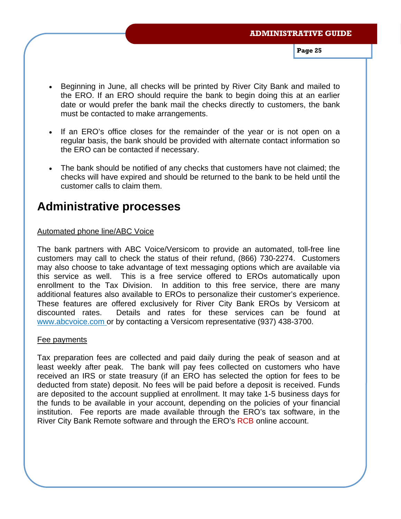**Page 25** 

- Beginning in June, all checks will be printed by River City Bank and mailed to the ERO. If an ERO should require the bank to begin doing this at an earlier date or would prefer the bank mail the checks directly to customers, the bank must be contacted to make arrangements.
- If an ERO's office closes for the remainder of the year or is not open on a regular basis, the bank should be provided with alternate contact information so the ERO can be contacted if necessary.
- The bank should be notified of any checks that customers have not claimed; the checks will have expired and should be returned to the bank to be held until the customer calls to claim them.

# **Administrative processes**

# Automated phone line/ABC Voice

The bank partners with ABC Voice/Versicom to provide an automated, toll-free line customers may call to check the status of their refund, (866) 730-2274. Customers may also choose to take advantage of text messaging options which are available via this service as well. This is a free service offered to EROs automatically upon enrollment to the Tax Division. In addition to this free service, there are many additional features also available to EROs to personalize their customer's experience. These features are offered exclusively for River City Bank EROs by Versicom at discounted rates. Details and rates for these services can be found at www.abcvoice.com or by contacting a Versicom representative (937) 438-3700.

# Fee payments

Tax preparation fees are collected and paid daily during the peak of season and at least weekly after peak. The bank will pay fees collected on customers who have received an IRS or state treasury (if an ERO has selected the option for fees to be deducted from state) deposit. No fees will be paid before a deposit is received. Funds are deposited to the account supplied at enrollment. It may take 1-5 business days for the funds to be available in your account, depending on the policies of your financial institution. Fee reports are made available through the ERO's tax software, in the River City Bank Remote software and through the ERO's RCB online account.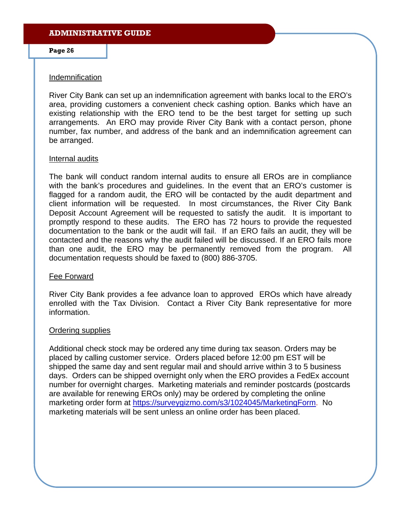### Indemnification

River City Bank can set up an indemnification agreement with banks local to the ERO's area, providing customers a convenient check cashing option. Banks which have an existing relationship with the ERO tend to be the best target for setting up such arrangements. An ERO may provide River City Bank with a contact person, phone number, fax number, and address of the bank and an indemnification agreement can be arranged.

# Internal audits

The bank will conduct random internal audits to ensure all EROs are in compliance with the bank's procedures and guidelines. In the event that an ERO's customer is flagged for a random audit, the ERO will be contacted by the audit department and client information will be requested. In most circumstances, the River City Bank Deposit Account Agreement will be requested to satisfy the audit. It is important to promptly respond to these audits. The ERO has 72 hours to provide the requested documentation to the bank or the audit will fail. If an ERO fails an audit, they will be contacted and the reasons why the audit failed will be discussed. If an ERO fails more than one audit, the ERO may be permanently removed from the program. All documentation requests should be faxed to (800) 886-3705.

#### Fee Forward

River City Bank provides a fee advance loan to approved EROs which have already enrolled with the Tax Division. Contact a River City Bank representative for more information.

#### Ordering supplies

Additional check stock may be ordered any time during tax season. Orders may be placed by calling customer service. Orders placed before 12:00 pm EST will be shipped the same day and sent regular mail and should arrive within 3 to 5 business days. Orders can be shipped overnight only when the ERO provides a FedEx account number for overnight charges. Marketing materials and reminder postcards (postcards are available for renewing EROs only) may be ordered by completing the online marketing order form at https://surveygizmo.com/s3/1024045/MarketingForm. No marketing materials will be sent unless an online order has been placed.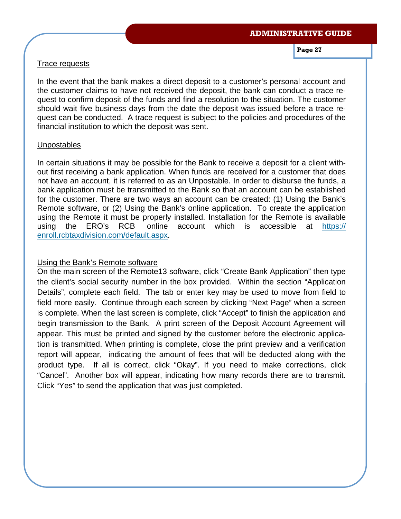# Trace requests

In the event that the bank makes a direct deposit to a customer's personal account and the customer claims to have not received the deposit, the bank can conduct a trace request to confirm deposit of the funds and find a resolution to the situation. The customer should wait five business days from the date the deposit was issued before a trace request can be conducted. A trace request is subject to the policies and procedures of the financial institution to which the deposit was sent.

# Unpostables

In certain situations it may be possible for the Bank to receive a deposit for a client without first receiving a bank application. When funds are received for a customer that does not have an account, it is referred to as an Unpostable. In order to disburse the funds, a bank application must be transmitted to the Bank so that an account can be established for the customer. There are two ways an account can be created: (1) Using the Bank's Remote software, or (2) Using the Bank's online application. To create the application using the Remote it must be properly installed. Installation for the Remote is available using the ERO's RCB online account which is accessible at https:// enroll.rcbtaxdivision.com/default.aspx.

# Using the Bank's Remote software

On the main screen of the Remote13 software, click "Create Bank Application" then type the client's social security number in the box provided. Within the section "Application Details", complete each field. The tab or enter key may be used to move from field to field more easily. Continue through each screen by clicking "Next Page" when a screen is complete. When the last screen is complete, click "Accept" to finish the application and begin transmission to the Bank. A print screen of the Deposit Account Agreement will appear. This must be printed and signed by the customer before the electronic application is transmitted. When printing is complete, close the print preview and a verification report will appear, indicating the amount of fees that will be deducted along with the product type. If all is correct, click "Okay". If you need to make corrections, click "Cancel". Another box will appear, indicating how many records there are to transmit. Click "Yes" to send the application that was just completed.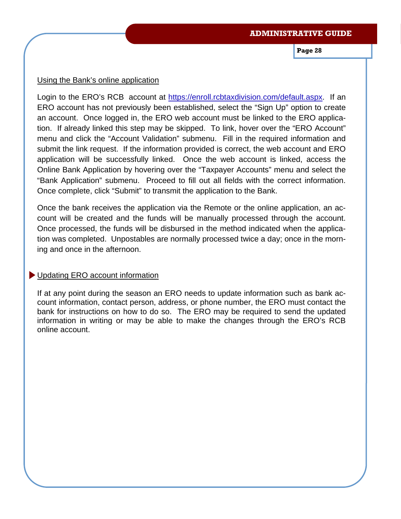#### Using the Bank's online application

Login to the ERO's RCB account at https://enroll.rcbtaxdivision.com/default.aspx. If an ERO account has not previously been established, select the "Sign Up" option to create an account. Once logged in, the ERO web account must be linked to the ERO application. If already linked this step may be skipped. To link, hover over the "ERO Account" menu and click the "Account Validation" submenu. Fill in the required information and submit the link request. If the information provided is correct, the web account and ERO application will be successfully linked. Once the web account is linked, access the Online Bank Application by hovering over the "Taxpayer Accounts" menu and select the "Bank Application" submenu. Proceed to fill out all fields with the correct information. Once complete, click "Submit" to transmit the application to the Bank.

Once the bank receives the application via the Remote or the online application, an account will be created and the funds will be manually processed through the account. Once processed, the funds will be disbursed in the method indicated when the application was completed. Unpostables are normally processed twice a day; once in the morning and once in the afternoon.

# ▶ Updating ERO account information

If at any point during the season an ERO needs to update information such as bank account information, contact person, address, or phone number, the ERO must contact the bank for instructions on how to do so. The ERO may be required to send the updated information in writing or may be able to make the changes through the ERO's RCB online account.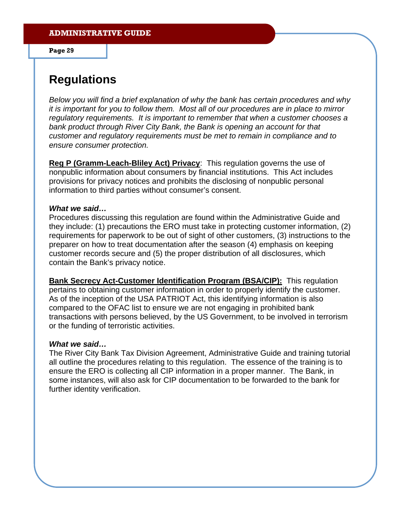# **Regulations**

*Below you will find a brief explanation of why the bank has certain procedures and why it is important for you to follow them. Most all of our procedures are in place to mirror regulatory requirements. It is important to remember that when a customer chooses a bank product through River City Bank, the Bank is opening an account for that customer and regulatory requirements must be met to remain in compliance and to ensure consumer protection.* 

**Reg P (Gramm-Leach-Bliley Act) Privacy**: This regulation governs the use of nonpublic information about consumers by financial institutions. This Act includes provisions for privacy notices and prohibits the disclosing of nonpublic personal information to third parties without consumer's consent.

#### *What we said…*

Procedures discussing this regulation are found within the Administrative Guide and they include: (1) precautions the ERO must take in protecting customer information, (2) requirements for paperwork to be out of sight of other customers, (3) instructions to the preparer on how to treat documentation after the season (4) emphasis on keeping customer records secure and (5) the proper distribution of all disclosures, which contain the Bank's privacy notice.

**Bank Secrecy Act-Customer Identification Program (BSA/CIP):** This regulation pertains to obtaining customer information in order to properly identify the customer. As of the inception of the USA PATRIOT Act, this identifying information is also compared to the OFAC list to ensure we are not engaging in prohibited bank transactions with persons believed, by the US Government, to be involved in terrorism or the funding of terroristic activities.

#### *What we said…*

The River City Bank Tax Division Agreement, Administrative Guide and training tutorial all outline the procedures relating to this regulation. The essence of the training is to ensure the ERO is collecting all CIP information in a proper manner. The Bank, in some instances, will also ask for CIP documentation to be forwarded to the bank for further identity verification.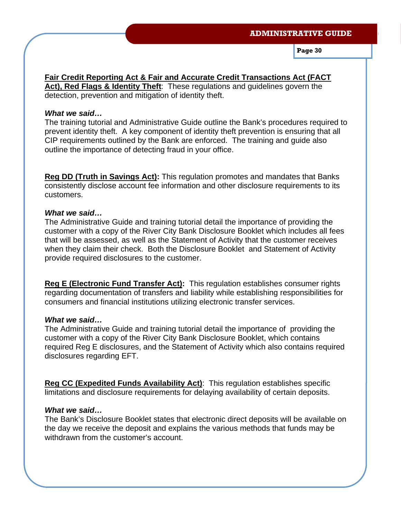**Fair Credit Reporting Act & Fair and Accurate Credit Transactions Act (FACT**  Act), Red Flags & Identity Theft: These regulations and guidelines govern the detection, prevention and mitigation of identity theft.

# *What we said…*

The training tutorial and Administrative Guide outline the Bank's procedures required to prevent identity theft. A key component of identity theft prevention is ensuring that all CIP requirements outlined by the Bank are enforced. The training and guide also outline the importance of detecting fraud in your office.

**Reg DD (Truth in Savings Act):** This regulation promotes and mandates that Banks consistently disclose account fee information and other disclosure requirements to its customers.

# *What we said…*

The Administrative Guide and training tutorial detail the importance of providing the customer with a copy of the River City Bank Disclosure Booklet which includes all fees that will be assessed, as well as the Statement of Activity that the customer receives when they claim their check. Both the Disclosure Booklet and Statement of Activity provide required disclosures to the customer.

**Reg E (Electronic Fund Transfer Act):** This regulation establishes consumer rights regarding documentation of transfers and liability while establishing responsibilities for consumers and financial institutions utilizing electronic transfer services.

# *What we said…*

The Administrative Guide and training tutorial detail the importance of providing the customer with a copy of the River City Bank Disclosure Booklet, which contains required Reg E disclosures, and the Statement of Activity which also contains required disclosures regarding EFT.

**Reg CC (Expedited Funds Availability Act)**: This regulation establishes specific limitations and disclosure requirements for delaying availability of certain deposits.

# *What we said…*

The Bank's Disclosure Booklet states that electronic direct deposits will be available on the day we receive the deposit and explains the various methods that funds may be withdrawn from the customer's account.